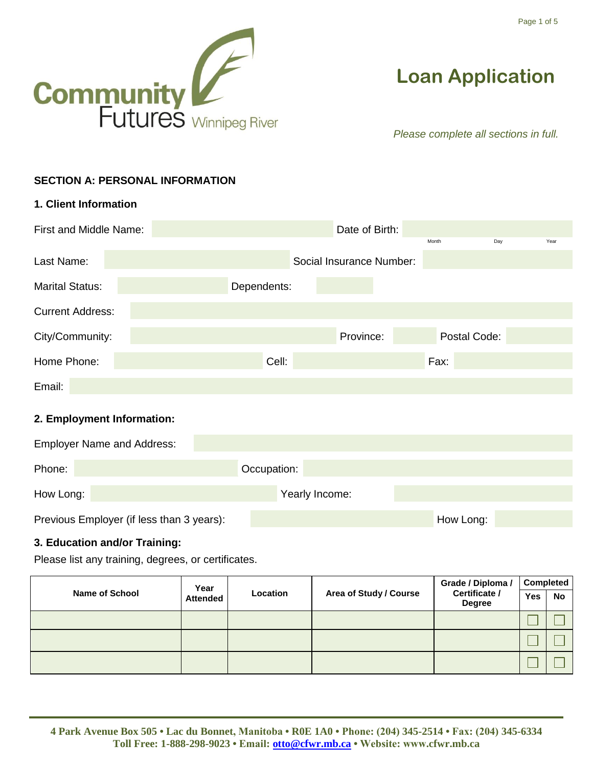

# **Loan Application**

*Please complete all sections in full.*

## **SECTION A: PERSONAL INFORMATION**

| 1. Client Information   |                          |                      |
|-------------------------|--------------------------|----------------------|
| First and Middle Name:  | Date of Birth:           |                      |
| Last Name:              | Social Insurance Number: | Day<br>Month<br>Year |
| <b>Marital Status:</b>  | Dependents:              |                      |
| <b>Current Address:</b> |                          |                      |
| City/Community:         | Province:                | Postal Code:         |
| Home Phone:             | Cell:                    | Fax:                 |
| Email:                  |                          |                      |

## **2. Employment Information:**

| <b>Employer Name and Address:</b>         |                |           |
|-------------------------------------------|----------------|-----------|
| Phone:                                    | Occupation:    |           |
| How Long:                                 | Yearly Income: |           |
| Previous Employer (if less than 3 years): |                | How Long: |

## **3. Education and/or Training:**

Please list any training, degrees, or certificates.

| Year                                                 |  |                        | Grade / Diploma /              | <b>Completed</b> |           |
|------------------------------------------------------|--|------------------------|--------------------------------|------------------|-----------|
| <b>Name of School</b><br>Location<br><b>Attended</b> |  | Area of Study / Course | Certificate /<br><b>Degree</b> | <b>Yes</b>       | <b>No</b> |
|                                                      |  |                        |                                |                  |           |
|                                                      |  |                        |                                |                  |           |
|                                                      |  |                        |                                |                  |           |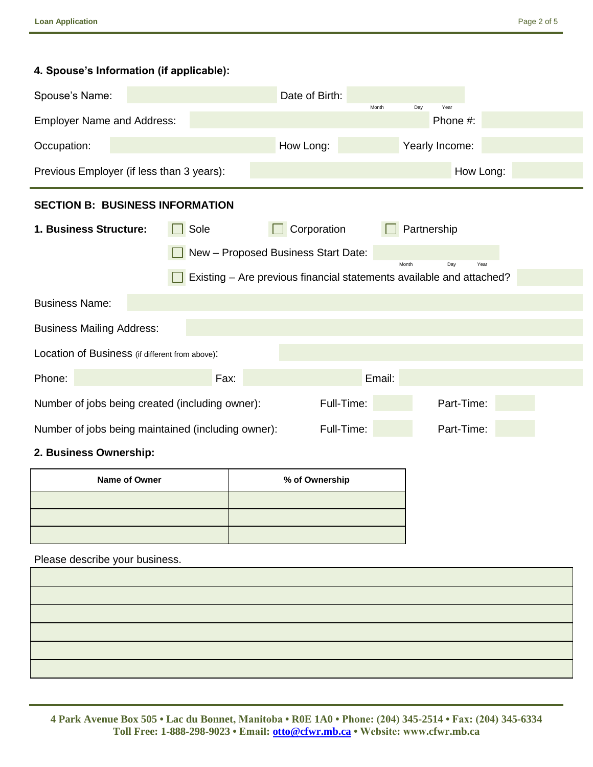## **4. Spouse's Information (if applicable):**

| Spouse's Name:                                                              |                                                                                | Date of Birth:                                                       | Month<br>Day   | Year      |  |
|-----------------------------------------------------------------------------|--------------------------------------------------------------------------------|----------------------------------------------------------------------|----------------|-----------|--|
| <b>Employer Name and Address:</b>                                           |                                                                                |                                                                      |                | Phone #:  |  |
| Occupation:                                                                 |                                                                                | How Long:                                                            | Yearly Income: |           |  |
| Previous Employer (if less than 3 years):                                   |                                                                                |                                                                      |                | How Long: |  |
| <b>SECTION B: BUSINESS INFORMATION</b>                                      |                                                                                |                                                                      |                |           |  |
| 1. Business Structure:                                                      | Sole                                                                           | Corporation                                                          | Partnership    |           |  |
|                                                                             |                                                                                | New - Proposed Business Start Date:                                  | Month          | Year      |  |
|                                                                             |                                                                                | Existing - Are previous financial statements available and attached? |                | Day       |  |
| <b>Business Name:</b>                                                       |                                                                                |                                                                      |                |           |  |
| <b>Business Mailing Address:</b>                                            |                                                                                |                                                                      |                |           |  |
| Location of Business (if different from above):                             |                                                                                |                                                                      |                |           |  |
| Phone:                                                                      | Fax:                                                                           |                                                                      | Email:         |           |  |
| Full-Time:<br>Part-Time:<br>Number of jobs being created (including owner): |                                                                                |                                                                      |                |           |  |
|                                                                             | Part-Time:<br>Full-Time:<br>Number of jobs being maintained (including owner): |                                                                      |                |           |  |

#### **2. Business Ownership:**

| Name of Owner | % of Ownership |
|---------------|----------------|
|               |                |
|               |                |
|               |                |

Please describe your business.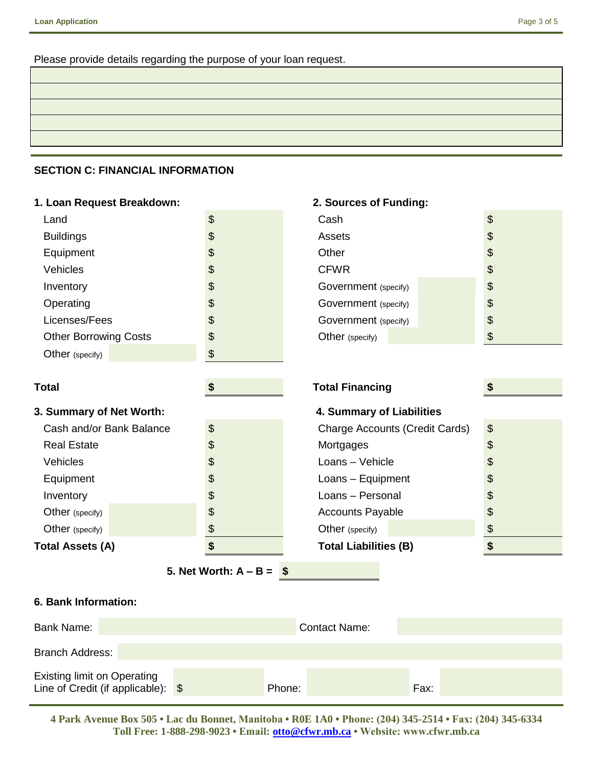Please provide details regarding the purpose of your loan request.

## **SECTION C: FINANCIAL INFORMATION**

| 1. Loan Request Breakdown:<br>2. Sources of Funding: |                   |                                       |                       |
|------------------------------------------------------|-------------------|---------------------------------------|-----------------------|
| Land                                                 | $\boldsymbol{\$}$ | Cash                                  | $\boldsymbol{\theta}$ |
| <b>Buildings</b>                                     | \$                | Assets                                | \$                    |
| Equipment                                            | \$                | Other                                 | \$                    |
| Vehicles                                             | \$                | <b>CFWR</b>                           | \$                    |
| Inventory                                            | \$                | Government (specify)                  | \$                    |
| Operating                                            | \$                | Government (specify)                  | \$                    |
| Licenses/Fees                                        | \$                | Government (specify)                  | $\boldsymbol{\theta}$ |
| <b>Other Borrowing Costs</b>                         | \$                | Other (specify)                       | $\boldsymbol{\theta}$ |
| Other (specify)                                      | \$                |                                       |                       |
|                                                      |                   |                                       |                       |
| <b>Total</b>                                         | \$                | <b>Total Financing</b>                | \$                    |
| 3. Summary of Net Worth:                             |                   | 4. Summary of Liabilities             |                       |
| Cash and/or Bank Balance                             | \$                | <b>Charge Accounts (Credit Cards)</b> | \$                    |
| <b>Real Estate</b>                                   | \$                | Mortgages                             | \$                    |
| Vehicles                                             | \$                | Loans - Vehicle                       | \$                    |
| Equipment                                            | \$                | Loans - Equipment                     | \$                    |
| Inventory                                            | \$                | Loans - Personal                      | \$                    |
| Other (specify)                                      | \$                | <b>Accounts Payable</b>               | \$                    |
| Other (specify)                                      | \$                | Other (specify)                       | \$                    |
| <b>Total Assets (A)</b>                              | \$                | <b>Total Liabilities (B)</b>          | \$                    |
| 5. Net Worth: $A - B =$<br>-\$                       |                   |                                       |                       |

## **6. Bank Information:**

| Bank Name:                                                                       | <b>Contact Name:</b> |      |
|----------------------------------------------------------------------------------|----------------------|------|
| Branch Address:                                                                  |                      |      |
| <b>Existing limit on Operating</b><br>Line of Credit (if applicable): $\sqrt{s}$ | Phone:               | Fax: |

**4 Park Avenue Box 505 • Lac du Bonnet, Manitoba • R0E 1A0 • Phone: (204) 345-2514 • Fax: (204) 345-6334 Toll Free: 1-888-298-9023 • Email: [otto@cfwr.mb.ca](mailto:otto@cfwr.mb.ca) • Website: www.cfwr.mb.ca**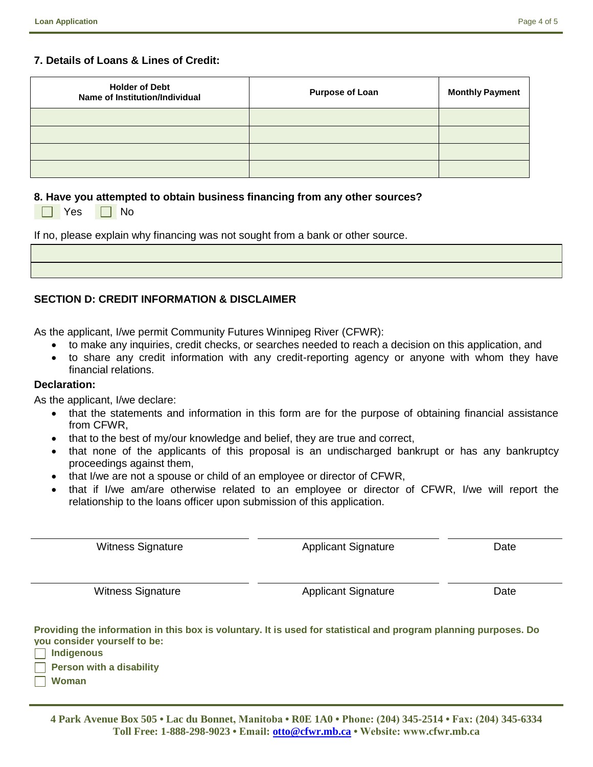#### **7. Details of Loans & Lines of Credit:**

 $\Box$  No

| <b>Holder of Debt</b><br>Name of Institution/Individual | <b>Purpose of Loan</b> | <b>Monthly Payment</b> |
|---------------------------------------------------------|------------------------|------------------------|
|                                                         |                        |                        |
|                                                         |                        |                        |
|                                                         |                        |                        |
|                                                         |                        |                        |

#### **8. Have you attempted to obtain business financing from any other sources?**

| Yes |  |
|-----|--|
|-----|--|

If no, please explain why financing was not sought from a bank or other source.

## **SECTION D: CREDIT INFORMATION & DISCLAIMER**

As the applicant, I/we permit Community Futures Winnipeg River (CFWR):

- to make any inquiries, credit checks, or searches needed to reach a decision on this application, and
- to share any credit information with any credit-reporting agency or anyone with whom they have financial relations.

#### **Declaration:**

As the applicant, I/we declare:

- that the statements and information in this form are for the purpose of obtaining financial assistance from CFWR,
- that to the best of my/our knowledge and belief, they are true and correct,
- that none of the applicants of this proposal is an undischarged bankrupt or has any bankruptcy proceedings against them,
- that I/we are not a spouse or child of an employee or director of CFWR,
- that if I/we am/are otherwise related to an employee or director of CFWR, I/we will report the relationship to the loans officer upon submission of this application.

| <b>Witness Signature</b>                                                                                                                                              | <b>Applicant Signature</b> | Date |
|-----------------------------------------------------------------------------------------------------------------------------------------------------------------------|----------------------------|------|
|                                                                                                                                                                       |                            |      |
| <b>Witness Signature</b>                                                                                                                                              | <b>Applicant Signature</b> | Date |
| Providing the information in this box is voluntary. It is used for statistical and program planning purposes. Do<br>you consider yourself to be:<br><b>Indigenous</b> |                            |      |
| <b>Person with a disability</b>                                                                                                                                       |                            |      |

**Woman**